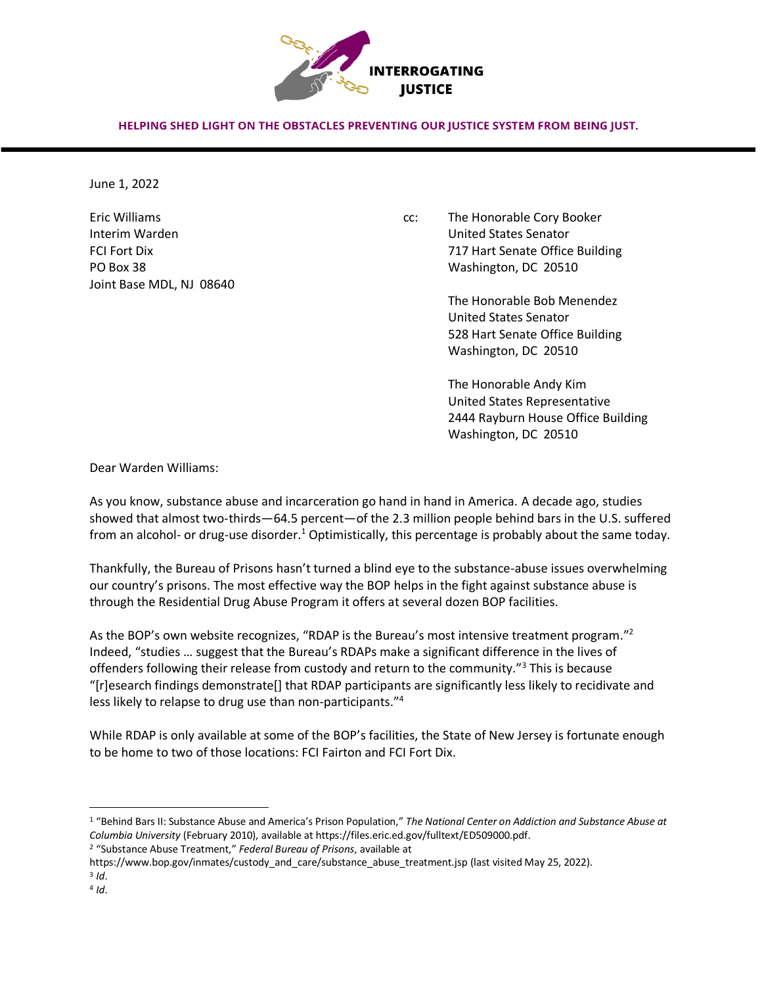

HELPING SHED LIGHT ON THE OBSTACLES PREVENTING OUR JUSTICE SYSTEM FROM BEING JUST.

June 1, 2022

Joint Base MDL, NJ 08640

Eric Williams cc: The Honorable Cory Booker Interim Warden United States Senator FCI Fort Dix 717 Hart Senate Office Building PO Box 38 Washington, DC 20510

> The Honorable Bob Menendez United States Senator 528 Hart Senate Office Building Washington, DC 20510

The Honorable Andy Kim United States Representative 2444 Rayburn House Office Building Washington, DC 20510

Dear Warden Williams:

As you know, substance abuse and incarceration go hand in hand in America. A decade ago, studies showed that almost two-thirds—64.5 percent—of the 2.3 million people behind bars in the U.S. suffered from an alcohol- or drug-use disorder.<sup>1</sup> Optimistically, this percentage is probably about the same today.

Thankfully, the Bureau of Prisons hasn't turned a blind eye to the substance-abuse issues overwhelming our country's prisons. The most effective way the BOP helps in the fight against substance abuse is through the Residential Drug Abuse Program it offers at several dozen BOP facilities.

As the BOP's own website recognizes, "RDAP is the Bureau's most intensive treatment program."<sup>2</sup> Indeed, "studies … suggest that the Bureau's RDAPs make a significant difference in the lives of offenders following their release from custody and return to the community."<sup>3</sup> This is because "[r]esearch findings demonstrate[] that RDAP participants are significantly less likely to recidivate and less likely to relapse to drug use than non-participants."<sup>4</sup>

While RDAP is only available at some of the BOP's facilities, the State of New Jersey is fortunate enough to be home to two of those locations: FCI Fairton and FCI Fort Dix.

<sup>1</sup> "Behind Bars II: Substance Abuse and America's Prison Population," *The National Center on Addiction and Substance Abuse at Columbia University* (February 2010), available at https://files.eric.ed.gov/fulltext/ED509000.pdf.

<sup>2</sup> "Substance Abuse Treatment," *Federal Bureau of Prisons*, available at

https://www.bop.gov/inmates/custody\_and\_care/substance\_abuse\_treatment.jsp (last visited May 25, 2022).

<sup>3</sup> *Id*.

<sup>4</sup> *Id*.